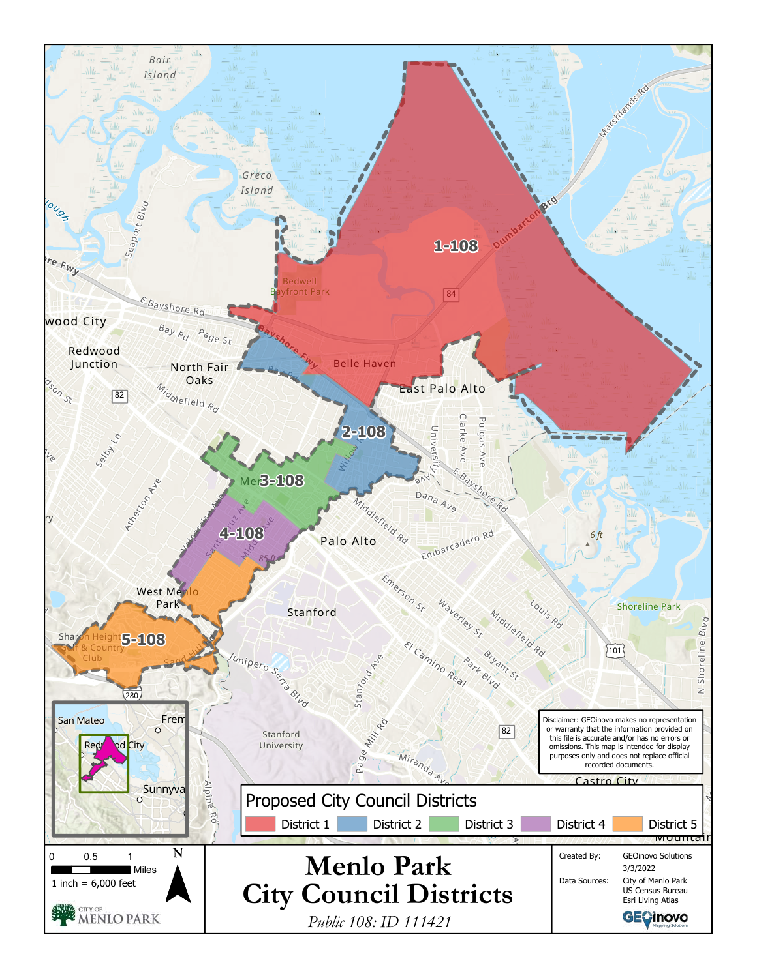